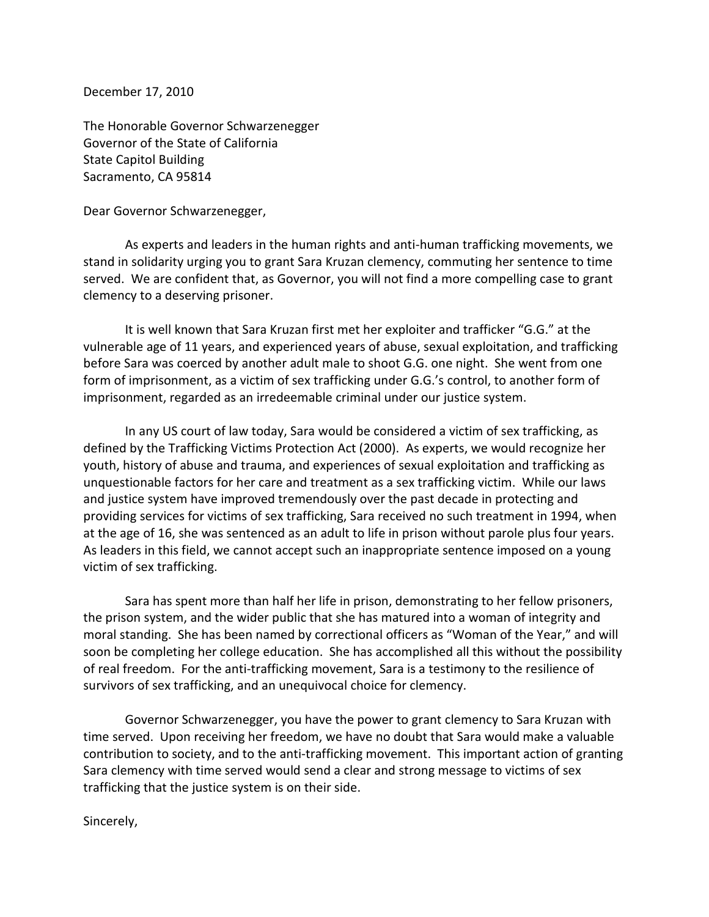December 17, 2010

The Honorable Governor Schwarzenegger Governor of the State of California State Capitol Building Sacramento, CA 95814

Dear Governor Schwarzenegger,

As experts and leaders in the human rights and anti-human trafficking movements, we stand in solidarity urging you to grant Sara Kruzan clemency, commuting her sentence to time served. We are confident that, as Governor, you will not find a more compelling case to grant clemency to a deserving prisoner.

It is well known that Sara Kruzan first met her exploiter and trafficker "G.G." at the vulnerable age of 11 years, and experienced years of abuse, sexual exploitation, and trafficking before Sara was coerced by another adult male to shoot G.G. one night. She went from one form of imprisonment, as a victim of sex trafficking under G.G.'s control, to another form of imprisonment, regarded as an irredeemable criminal under our justice system.

In any US court of law today, Sara would be considered a victim of sex trafficking, as defined by the Trafficking Victims Protection Act (2000). As experts, we would recognize her youth, history of abuse and trauma, and experiences of sexual exploitation and trafficking as unquestionable factors for her care and treatment as a sex trafficking victim. While our laws and justice system have improved tremendously over the past decade in protecting and providing services for victims of sex trafficking, Sara received no such treatment in 1994, when at the age of 16, she was sentenced as an adult to life in prison without parole plus four years. As leaders in this field, we cannot accept such an inappropriate sentence imposed on a young victim of sex trafficking.

Sara has spent more than half her life in prison, demonstrating to her fellow prisoners, the prison system, and the wider public that she has matured into a woman of integrity and moral standing. She has been named by correctional officers as "Woman of the Year," and will soon be completing her college education. She has accomplished all this without the possibility of real freedom. For the anti-trafficking movement, Sara is a testimony to the resilience of survivors of sex trafficking, and an unequivocal choice for clemency.

Governor Schwarzenegger, you have the power to grant clemency to Sara Kruzan with time served. Upon receiving her freedom, we have no doubt that Sara would make a valuable contribution to society, and to the anti-trafficking movement. This important action of granting Sara clemency with time served would send a clear and strong message to victims of sex trafficking that the justice system is on their side.

Sincerely,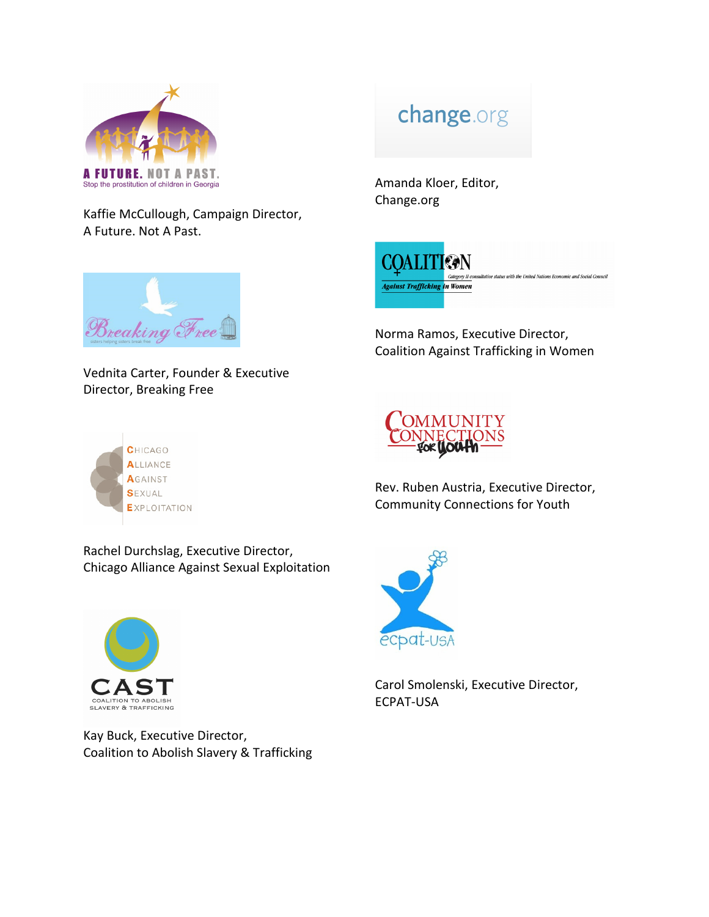

A Future. Not A Past.

## change.org

Amanda Kloer, Editor, Change.org



Norma Ramos, Executive Director, Coalition Against Trafficking in Women



Vednita Carter, Founder & Executive Director, Breaking Free

Kaffie McCullough, Campaign Director,





Rev. Ruben Austria, Executive Director, Community Connections for Youth

Rachel Durchslag, Executive Director, Chicago Alliance Against Sexual Exploitation



Kay Buck, Executive Director, Coalition to Abolish Slavery & Trafficking



Carol Smolenski, Executive Director, ECPAT-USA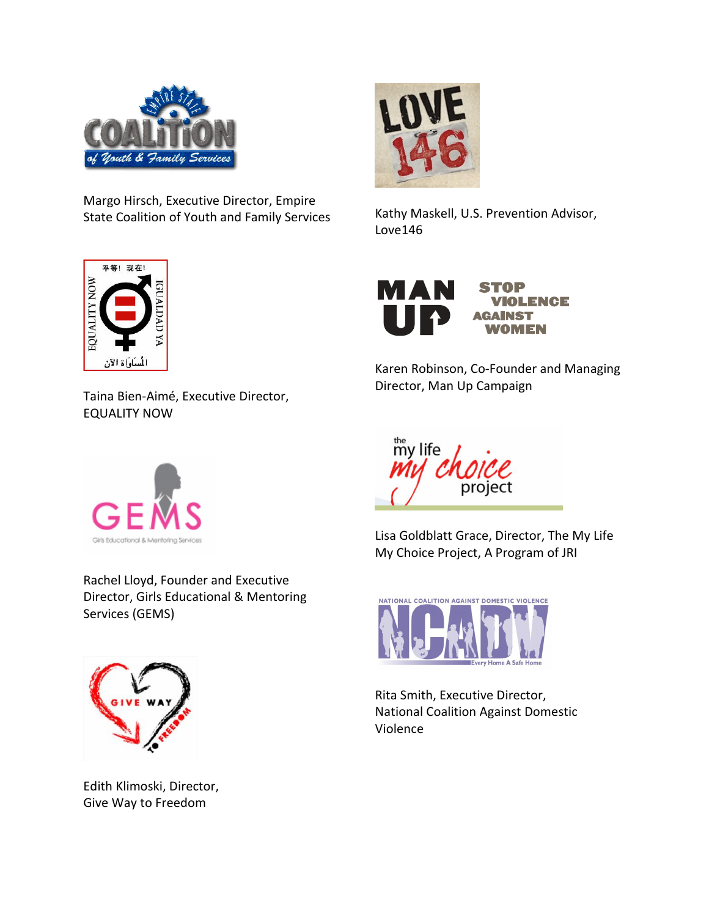

Margo Hirsch, Executive Director, Empire State Coalition of Youth and Family Services



Taina Bien-Aimé, Executive Director, EQUALITY NOW



Rachel Lloyd, Founder and Executive Director, Girls Educational & Mentoring Services (GEMS)



Edith Klimoski, Director, Give Way to Freedom



Kathy Maskell, U.S. Prevention Advisor, Love146



Karen Robinson, Co-Founder and Managing Director, Man Up Campaign



Lisa Goldblatt Grace, Director, The My Life My Choice Project, A Program of JRI



Rita Smith, Executive Director, National Coalition Against Domestic Violence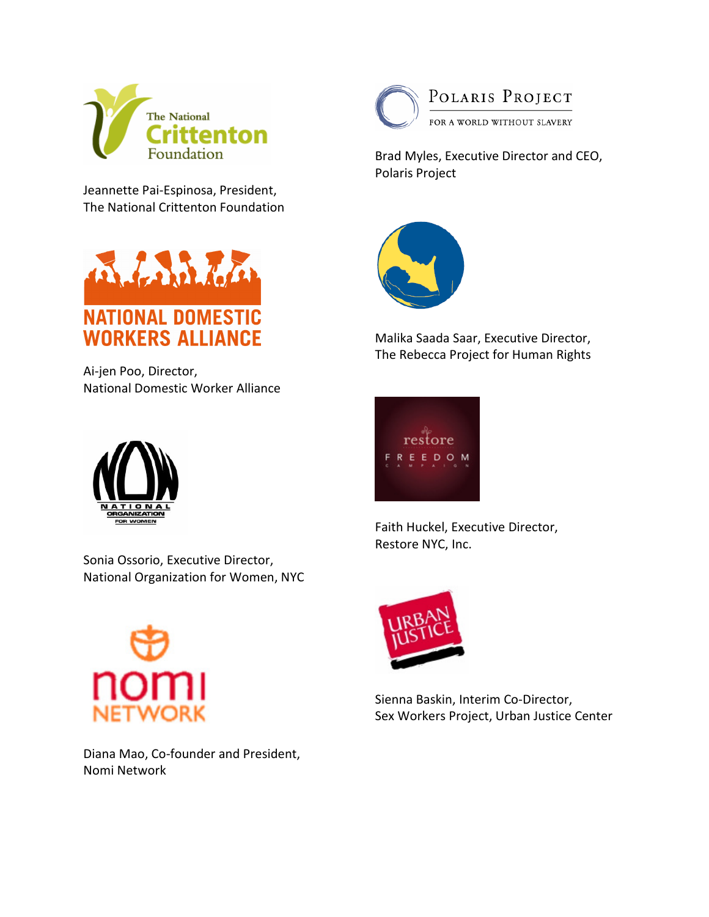

Jeannette Pai-Espinosa, President, The National Crittenton Foundation



Ai-jen Poo, Director, National Domestic Worker Alliance



Sonia Ossorio, Executive Director, National Organization for Women, NYC



Diana Mao, Co-founder and President, Nomi Network



POLARIS PROJECT FOR A WORLD WITHOUT SLAVERY

Brad Myles, Executive Director and CEO, Polaris Project



Malika Saada Saar, Executive Director, The Rebecca Project for Human Rights



Faith Huckel, Executive Director, Restore NYC, Inc.



Sienna Baskin, Interim Co-Director, Sex Workers Project, Urban Justice Center